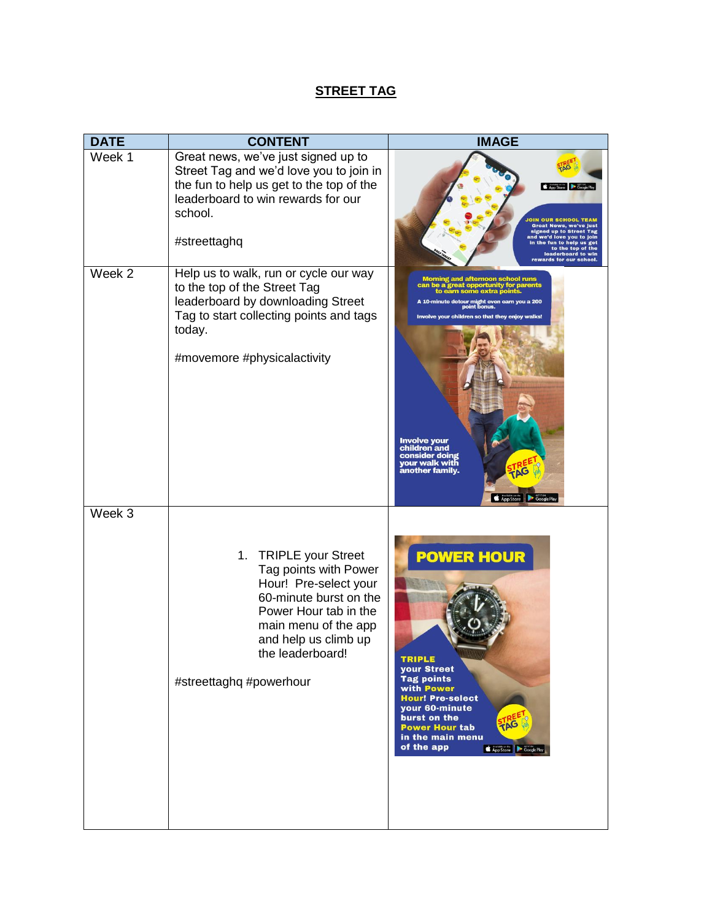## **STREET TAG**

| <b>DATE</b> | <b>CONTENT</b>                                                                                                                                                                                                            | <b>IMAGE</b>                                                                                                                                                                                                                                                                                                                                                      |
|-------------|---------------------------------------------------------------------------------------------------------------------------------------------------------------------------------------------------------------------------|-------------------------------------------------------------------------------------------------------------------------------------------------------------------------------------------------------------------------------------------------------------------------------------------------------------------------------------------------------------------|
| Week 1      | Great news, we've just signed up to<br>Street Tag and we'd love you to join in<br>the fun to help us get to the top of the<br>leaderboard to win rewards for our<br>school.<br>#streettaghq                               | App Store Google Pt<br><b>Great News, we've just</b><br>signed up to Street Tag<br>and we'd love you to join<br>in the fun to help us get<br>to the top of the<br>leaderboard to win<br>rewards for our school.                                                                                                                                                   |
| Week 2      | Help us to walk, run or cycle our way<br>to the top of the Street Tag<br>leaderboard by downloading Street<br>Tag to start collecting points and tags<br>today.<br>#movemore #physicalactivity                            | Morning and afternoon school runs<br>can be a great opportunity for parents<br>to earn some extra points.<br>A 10-minute detour might even earn you a 200<br>point bonus.<br>Involve your children so that they enjoy walks!<br><b>Involve your</b><br>children and<br>consider doing<br>your walk with<br><b>PAG</b><br>another family.<br>App Store Google Play |
| Week 3      | 1. TRIPLE your Street<br>Tag points with Power<br>Hour! Pre-select your<br>60-minute burst on the<br>Power Hour tab in the<br>main menu of the app<br>and help us climb up<br>the leaderboard!<br>#streettaghq #powerhour | <b>POWER HOUR</b><br>TRIPLE<br>your Street<br><b>Tag points</b><br>with Power<br><b>Hour! Pre-select</b><br>your 60-minute<br>burst on the<br>TAG<br><b>Power Hour tab</b><br>in the main menu<br>of the app<br>App Store Coogle Play                                                                                                                             |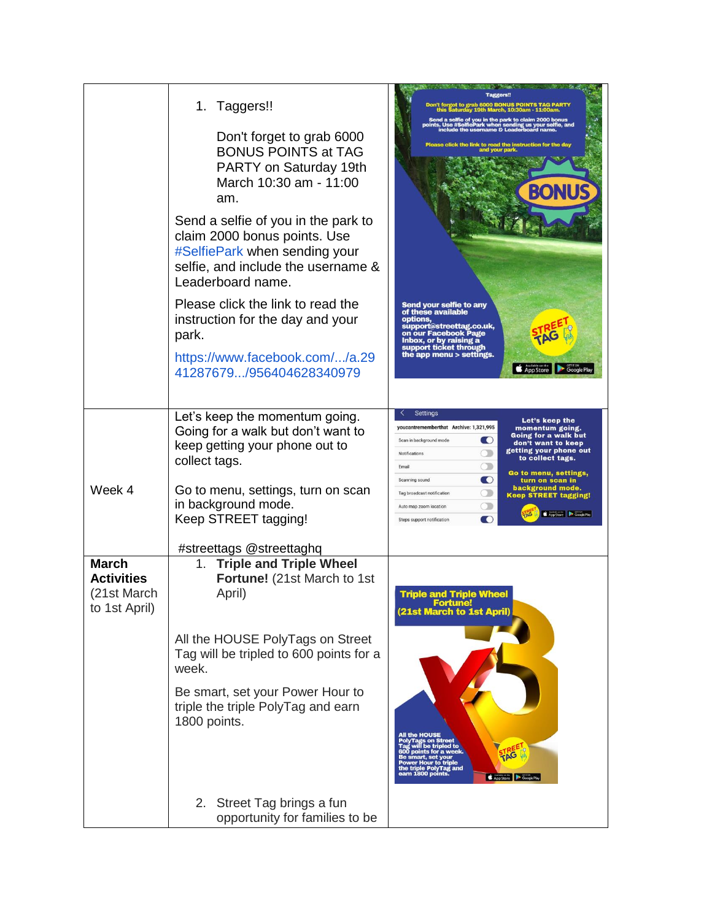|                                                                   | Taggers!!<br>1.<br>Don't forget to grab 6000<br><b>BONUS POINTS at TAG</b><br>PARTY on Saturday 19th<br>March 10:30 am - 11:00<br>am.<br>Send a selfie of you in the park to<br>claim 2000 bonus points. Use<br>#SelfiePark when sending your<br>selfie, and include the username &<br>Leaderboard name.<br>Please click the link to read the | <b>US POINTS TAG PAR</b><br>Send a selfie of you in the park to claim 2000 bonus<br>ints. Use #SelfiePark when sending us your selfie, a<br>include the usemame & Leaderboard name.<br>Please click the link to read the instruction for the day<br>our park<br>BONU<br>Send your selfie to any                                                                                    |
|-------------------------------------------------------------------|-----------------------------------------------------------------------------------------------------------------------------------------------------------------------------------------------------------------------------------------------------------------------------------------------------------------------------------------------|------------------------------------------------------------------------------------------------------------------------------------------------------------------------------------------------------------------------------------------------------------------------------------------------------------------------------------------------------------------------------------|
|                                                                   | instruction for the day and your<br>park.<br>https://www.facebook.com//a.29<br>41287679/956404628340979                                                                                                                                                                                                                                       | of these available<br>options,<br>support@streettag.co.uk,<br>on our Facebook Page<br>Inbox, or by raising a<br>support ticket through<br>the app menu > settings.<br>App Store                                                                                                                                                                                                    |
|                                                                   | Let's keep the momentum going.<br>Going for a walk but don't want to<br>keep getting your phone out to<br>collect tags.                                                                                                                                                                                                                       | <b>Settings</b><br>Let's keep the<br>youcantrememberthat Archive: 1,321,995<br>momentum going.<br><b>Going for a walk but</b><br>$\bf{O}$<br>Scan in background mode<br>don't want to keep<br>getting your phone out<br>$\bigcirc$<br>Notifications<br>to collect tags.<br>$\circlearrowright$<br>Email<br>Go to menu, settings,<br>$\bullet$<br>Scanning sound<br>turn on scan in |
| Week 4                                                            | Go to menu, settings, turn on scan<br>in background mode.<br>Keep STREET tagging!                                                                                                                                                                                                                                                             | background mode.<br>$\circlearrowright$<br>Tag broadcast notification<br><b>Keep STREET tagging!</b><br>$\bigcirc$<br>Auto map zoom location<br>App Store Coogle Play<br>$\blacksquare$<br>Steps support notification                                                                                                                                                              |
| <b>March</b><br><b>Activities</b><br>(21st March<br>to 1st April) | #streettags @streettaghq<br><b>Triple and Triple Wheel</b><br>1.<br>Fortune! (21st March to 1st<br>April)                                                                                                                                                                                                                                     | <b>Triple and Triple Wheel</b><br><b>EOMIT</b><br>(21st March to 1st April)                                                                                                                                                                                                                                                                                                        |
|                                                                   | All the HOUSE PolyTags on Street<br>Tag will be tripled to 600 points for a<br>week.                                                                                                                                                                                                                                                          |                                                                                                                                                                                                                                                                                                                                                                                    |
|                                                                   | Be smart, set your Power Hour to<br>triple the triple PolyTag and earn<br>1800 points.                                                                                                                                                                                                                                                        | All the HOUSE<br>Power Hour to triple<br>the triple PolyTag and<br>earn 1800 points.                                                                                                                                                                                                                                                                                               |
|                                                                   | 2. Street Tag brings a fun<br>opportunity for families to be                                                                                                                                                                                                                                                                                  |                                                                                                                                                                                                                                                                                                                                                                                    |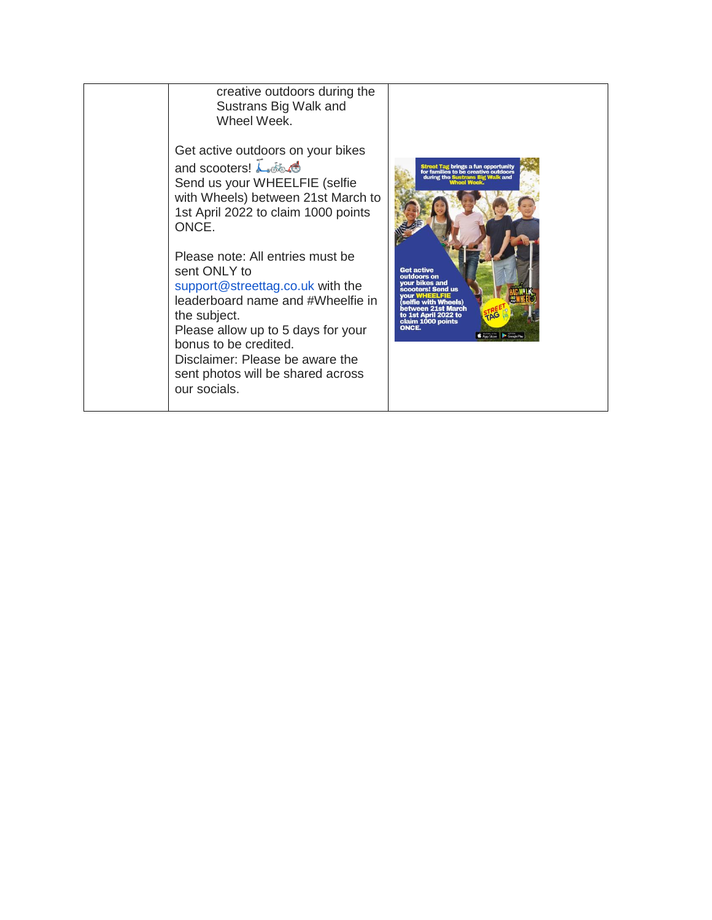creative outdoors during the Sustrans Big Walk and Wheel Week. Get active outdoors on your bikes and scooters!  $\overline{\mathcal{L}}$   $\delta \delta \mathcal{A}$ Send us your WHEELFIE (selfie with Wheels) between 21st March to 1st April 2022 to claim 1000 points ONCE. Please note: All entries must be sent ONLY to support@streettag.co.uk with the leaderboard name and #Wheelfie in the subject. Please allow up to 5 days for your bonus to be credited. Disclaimer: Please be aware the sent photos will be shared across our socials.